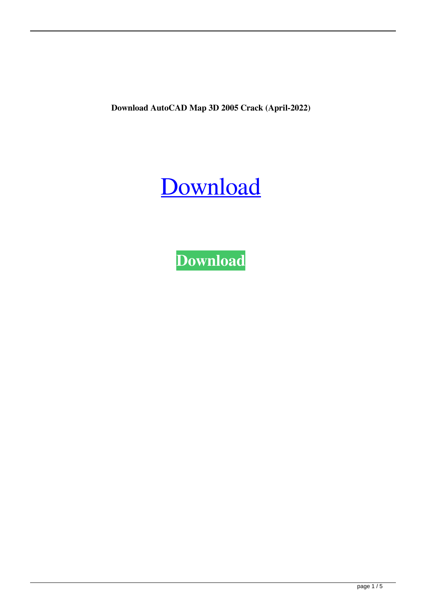**Download AutoCAD Map 3D 2005 Crack (April-2022)**

## [Download](http://evacdir.com/apparitions/anxious/ZG93bmxvYWQgQXV0b0NBRCBNYXAgM0QgMjAwNSBjcmFjawZG9/bakeapples/chevette.naranga.ZG93bmxvYWR8eVMwTVhwamQzeDhNVFkxTWpRMk16QTFNSHg4TWpVM05IeDhLRTBwSUhKbFlXUXRZbXh2WnlCYlJtRnpkQ0JIUlU1ZA.psychogenic.deceptions/)

**[Download](http://evacdir.com/apparitions/anxious/ZG93bmxvYWQgQXV0b0NBRCBNYXAgM0QgMjAwNSBjcmFjawZG9/bakeapples/chevette.naranga.ZG93bmxvYWR8eVMwTVhwamQzeDhNVFkxTWpRMk16QTFNSHg4TWpVM05IeDhLRTBwSUhKbFlXUXRZbXh2WnlCYlJtRnpkQ0JIUlU1ZA.psychogenic.deceptions/)**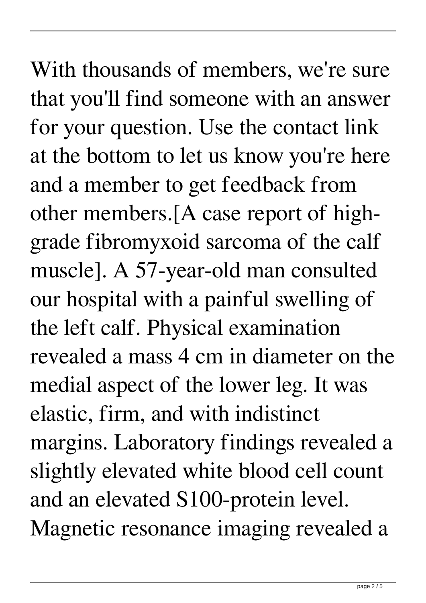With thousands of members, we're sure that you'll find someone with an answer for your question. Use the contact link at the bottom to let us know you're here and a member to get feedback from other members.[A case report of highgrade fibromyxoid sarcoma of the calf muscle]. A 57-year-old man consulted our hospital with a painful swelling of the left calf. Physical examination revealed a mass 4 cm in diameter on the medial aspect of the lower leg. It was elastic, firm, and with indistinct margins. Laboratory findings revealed a slightly elevated white blood cell count and an elevated S100-protein level. Magnetic resonance imaging revealed a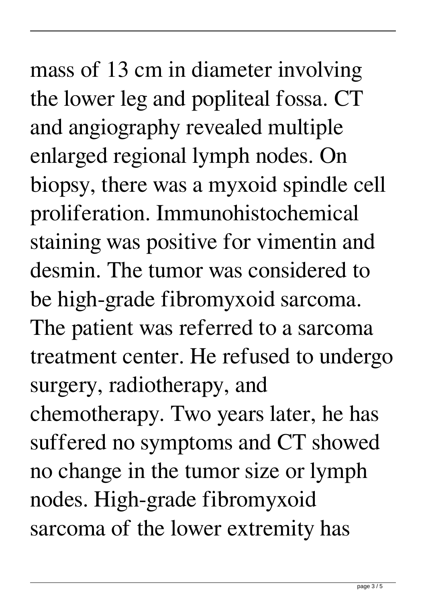## mass of 13 cm in diameter involving the lower leg and popliteal fossa. CT and angiography revealed multiple enlarged regional lymph nodes. On biopsy, there was a myxoid spindle cell proliferation. Immunohistochemical staining was positive for vimentin and desmin. The tumor was considered to be high-grade fibromyxoid sarcoma. The patient was referred to a sarcoma treatment center. He refused to undergo surgery, radiotherapy, and chemotherapy. Two years later, he has suffered no symptoms and CT showed no change in the tumor size or lymph nodes. High-grade fibromyxoid sarcoma of the lower extremity has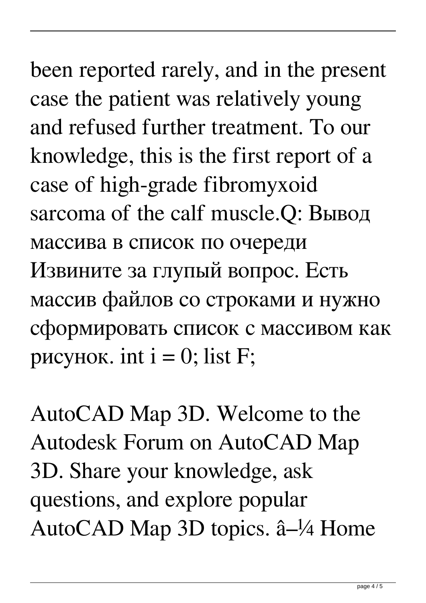been reported rarely, and in the present case the patient was relatively young and refused further treatment. To our knowledge, this is the first report of a case of high-grade fibromyxoid sarcoma of the calf muscle.Q: Вывод массива в список по очереди Извините за глупый вопрос. Есть массив файлов со строками и нужно сформировать список с массивом как рисунок. int  $i = 0$ ; list F;

AutoCAD Map 3D. Welcome to the Autodesk Forum on AutoCAD Map 3D. Share your knowledge, ask questions, and explore popular AutoCAD Map 3D topics. â–¼ Home